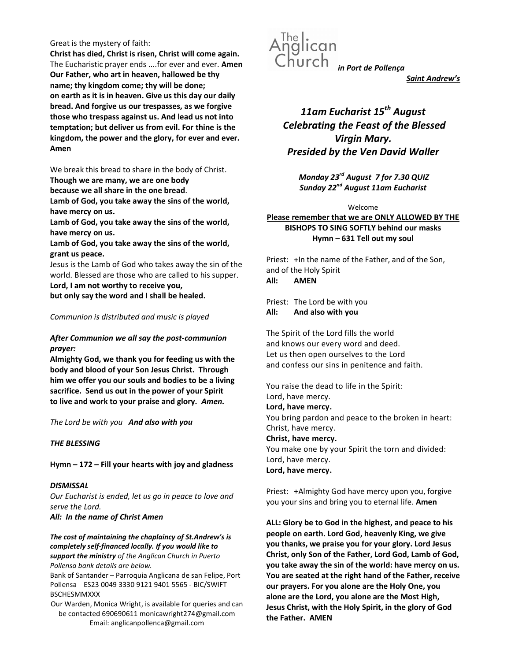#### Great is the mystery of faith:

Christ has died, Christ is risen, Christ will come again. The Eucharistic prayer ends ....for ever and ever. Amen Our Father, who art in heaven, hallowed be thy name; thy kingdom come; thy will be done; on earth as it is in heaven. Give us this day our daily bread. And forgive us our trespasses, as we forgive those who trespass against us. And lead us not into temptation; but deliver us from evil. For thine is the kingdom, the power and the glory, for ever and ever. Amen

We break this bread to share in the body of Christ.

Though we are many, we are one body

because we all share in the one bread.

Lamb of God, you take away the sins of the world, have mercy on us.

Lamb of God, you take away the sins of the world, have mercy on us.

Lamb of God, you take away the sins of the world, grant us peace.

Jesus is the Lamb of God who takes away the sin of the world. Blessed are those who are called to his supper. Lord, I am not worthy to receive you,

but only say the word and I shall be healed.

### Communion is distributed and music is played

## After Communion we all say the post-communion prayer:

Almighty God, we thank you for feeding us with the body and blood of your Son Jesus Christ. Through him we offer you our souls and bodies to be a living sacrifice. Send us out in the power of your Spirit to live and work to your praise and glory. Amen.

The Lord be with you And also with you

### THE BLESSING

Hymn – 172 – Fill your hearts with joy and gladness

### **DISMISSAL**

Our Eucharist is ended, let us go in peace to love and serve the Lord.

All: In the name of Christ Amen

The cost of maintaining the chaplaincy of St.Andrew's is completely self-financed locally. If you would like to support the ministry of the Anglican Church in Puerto Pollensa bank details are below.

Bank of Santander – Parroquia Anglicana de san Felipe, Port Pollensa ES23 0049 3330 9121 9401 5565 - BIC/SWIFT BSCHESMMXXX

Our Warden, Monica Wright, is available for queries and can be contacted 690690611 monicawright274@gmail.com Email: anglicanpollenca@gmail.com



Saint Andrew's

# 11am Eucharist 15<sup>th</sup> August Celebrating the Feast of the Blessed Virgin Mary. Presided by the Ven David Waller

Monday 23<sup>rd</sup> August 7 for 7.30 QUIZ Sunday 22<sup>nd</sup> August 11am Eucharist

Welcome

Please remember that we are ONLY ALLOWED BY THE BISHOPS TO SING SOFTLY behind our masks Hymn – 631 Tell out my soul

Priest: +In the name of the Father, and of the Son, and of the Holy Spirit All: AMEN

Priest: The Lord be with you All: And also with you

The Spirit of the Lord fills the world and knows our every word and deed. Let us then open ourselves to the Lord and confess our sins in penitence and faith.

You raise the dead to life in the Spirit: Lord, have mercy. Lord, have mercy. You bring pardon and peace to the broken in heart: Christ, have mercy. Christ, have mercy. You make one by your Spirit the torn and divided: Lord, have mercy. Lord, have mercy.

Priest: +Almighty God have mercy upon you, forgive you your sins and bring you to eternal life. Amen

ALL: Glory be to God in the highest, and peace to his people on earth. Lord God, heavenly King, we give you thanks, we praise you for your glory. Lord Jesus Christ, only Son of the Father, Lord God, Lamb of God, you take away the sin of the world: have mercy on us. You are seated at the right hand of the Father, receive our prayers. For you alone are the Holy One, you alone are the Lord, you alone are the Most High, Jesus Christ, with the Holy Spirit, in the glory of God the Father. AMEN